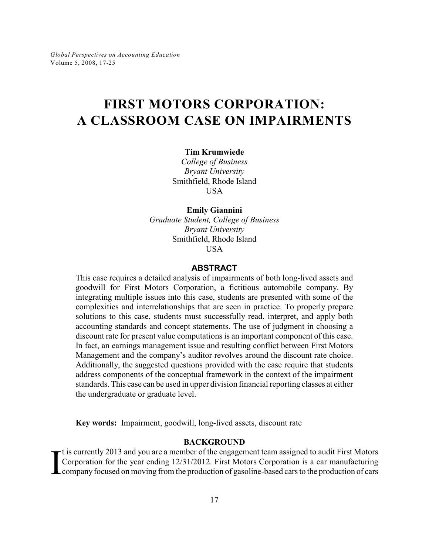# **FIRST MOTORS CORPORATION: A CLASSROOM CASE ON IMPAIRMENTS**

### **Tim Krumwiede**

*College of Business Bryant University* Smithfield, Rhode Island **USA** 

### **Emily Giannini**

*Graduate Student, College of Business Bryant University* Smithfield, Rhode Island USA

### **ABSTRACT**

This case requires a detailed analysis of impairments of both long-lived assets and goodwill for First Motors Corporation, a fictitious automobile company. By integrating multiple issues into this case, students are presented with some of the complexities and interrelationships that are seen in practice. To properly prepare solutions to this case, students must successfully read, interpret, and apply both accounting standards and concept statements. The use of judgment in choosing a discount rate for present value computations is an important component of this case. In fact, an earnings management issue and resulting conflict between First Motors Management and the company's auditor revolves around the discount rate choice. Additionally, the suggested questions provided with the case require that students address components of the conceptual framework in the context of the impairment standards. This case can be used in upper division financial reporting classes at either the undergraduate or graduate level.

**Key words:** Impairment, goodwill, long-lived assets, discount rate

### **BACKGROUND**

I t is currently 2013 and you are a member of the engagement team assigned to audit First Motors Corporation for the year ending 12/31/2012. First Motors Corporation is a car manufacturing company focused on moving from the production of gasoline-based cars to the production of cars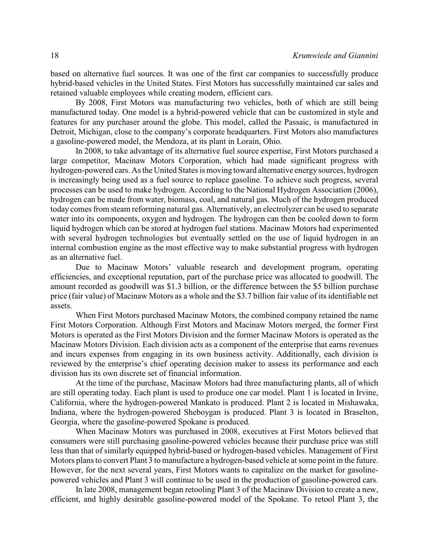based on alternative fuel sources. It was one of the first car companies to successfully produce hybrid-based vehicles in the United States. First Motors has successfully maintained car sales and retained valuable employees while creating modern, efficient cars.

By 2008, First Motors was manufacturing two vehicles, both of which are still being manufactured today. One model is a hybrid-powered vehicle that can be customized in style and features for any purchaser around the globe. This model, called the Passaic, is manufactured in Detroit, Michigan, close to the company's corporate headquarters. First Motors also manufactures a gasoline-powered model, the Mendoza, at its plant in Lorain, Ohio.

In 2008, to take advantage of its alternative fuel source expertise, First Motors purchased a large competitor, Macinaw Motors Corporation, which had made significant progress with hydrogen-powered cars. As the United States is moving toward alternative energy sources, hydrogen is increasingly being used as a fuel source to replace gasoline. To achieve such progress, several processes can be used to make hydrogen. According to the National Hydrogen Association (2006), hydrogen can be made from water, biomass, coal, and natural gas. Much of the hydrogen produced today comes from steam reforming natural gas. Alternatively, an electrolyzer can be used to separate water into its components, oxygen and hydrogen. The hydrogen can then be cooled down to form liquid hydrogen which can be stored at hydrogen fuel stations. Macinaw Motors had experimented with several hydrogen technologies but eventually settled on the use of liquid hydrogen in an internal combustion engine as the most effective way to make substantial progress with hydrogen as an alternative fuel.

Due to Macinaw Motors' valuable research and development program, operating efficiencies, and exceptional reputation, part of the purchase price was allocated to goodwill. The amount recorded as goodwill was \$1.3 billion, or the difference between the \$5 billion purchase price (fair value) of Macinaw Motors as a whole and the \$3.7 billion fair value of its identifiable net assets.

When First Motors purchased Macinaw Motors, the combined company retained the name First Motors Corporation. Although First Motors and Macinaw Motors merged, the former First Motors is operated as the First Motors Division and the former Macinaw Motors is operated as the Macinaw Motors Division. Each division acts as a component of the enterprise that earns revenues and incurs expenses from engaging in its own business activity. Additionally, each division is reviewed by the enterprise's chief operating decision maker to assess its performance and each division has its own discrete set of financial information.

At the time of the purchase, Macinaw Motors had three manufacturing plants, all of which are still operating today. Each plant is used to produce one car model. Plant 1 is located in Irvine, California, where the hydrogen-powered Mankato is produced. Plant 2 is located in Mishawaka, Indiana, where the hydrogen-powered Sheboygan is produced. Plant 3 is located in Braselton, Georgia, where the gasoline-powered Spokane is produced.

When Macinaw Motors was purchased in 2008, executives at First Motors believed that consumers were still purchasing gasoline-powered vehicles because their purchase price was still less than that of similarly equipped hybrid-based or hydrogen-based vehicles. Management of First Motors plans to convert Plant 3 to manufacture a hydrogen-based vehicle at some point in the future. However, for the next several years, First Motors wants to capitalize on the market for gasolinepowered vehicles and Plant 3 will continue to be used in the production of gasoline-powered cars.

In late 2008, management began retooling Plant 3 of the Macinaw Division to create a new, efficient, and highly desirable gasoline-powered model of the Spokane. To retool Plant 3, the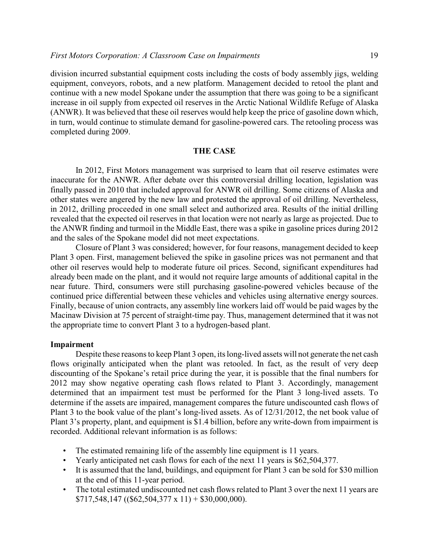division incurred substantial equipment costs including the costs of body assembly jigs, welding equipment, conveyors, robots, and a new platform. Management decided to retool the plant and continue with a new model Spokane under the assumption that there was going to be a significant increase in oil supply from expected oil reserves in the Arctic National Wildlife Refuge of Alaska (ANWR). It was believed that these oil reserves would help keep the price of gasoline down which, in turn, would continue to stimulate demand for gasoline-powered cars. The retooling process was completed during 2009.

# **THE CASE**

In 2012, First Motors management was surprised to learn that oil reserve estimates were inaccurate for the ANWR. After debate over this controversial drilling location, legislation was finally passed in 2010 that included approval for ANWR oil drilling. Some citizens of Alaska and other states were angered by the new law and protested the approval of oil drilling. Nevertheless, in 2012, drilling proceeded in one small select and authorized area. Results of the initial drilling revealed that the expected oil reserves in that location were not nearly as large as projected. Due to the ANWR finding and turmoil in the Middle East, there was a spike in gasoline prices during 2012 and the sales of the Spokane model did not meet expectations.

Closure of Plant 3 was considered; however, for four reasons, management decided to keep Plant 3 open. First, management believed the spike in gasoline prices was not permanent and that other oil reserves would help to moderate future oil prices. Second, significant expenditures had already been made on the plant, and it would not require large amounts of additional capital in the near future. Third, consumers were still purchasing gasoline-powered vehicles because of the continued price differential between these vehicles and vehicles using alternative energy sources. Finally, because of union contracts, any assembly line workers laid off would be paid wages by the Macinaw Division at 75 percent of straight-time pay. Thus, management determined that it was not the appropriate time to convert Plant 3 to a hydrogen-based plant.

### **Impairment**

Despite these reasons to keep Plant 3 open, its long-lived assets will not generate the net cash flows originally anticipated when the plant was retooled. In fact, as the result of very deep discounting of the Spokane's retail price during the year, it is possible that the final numbers for 2012 may show negative operating cash flows related to Plant 3. Accordingly, management determined that an impairment test must be performed for the Plant 3 long-lived assets. To determine if the assets are impaired, management compares the future undiscounted cash flows of Plant 3 to the book value of the plant's long-lived assets. As of 12/31/2012, the net book value of Plant 3's property, plant, and equipment is \$1.4 billion, before any write-down from impairment is recorded. Additional relevant information is as follows:

- The estimated remaining life of the assembly line equipment is 11 years.
- Yearly anticipated net cash flows for each of the next 11 years is \$62,504,377.
- It is assumed that the land, buildings, and equipment for Plant 3 can be sold for \$30 million at the end of this 11-year period.
- The total estimated undiscounted net cash flows related to Plant 3 over the next 11 years are  $$717,548,147 (($62,504,377 \times 11) + $30,000,000).$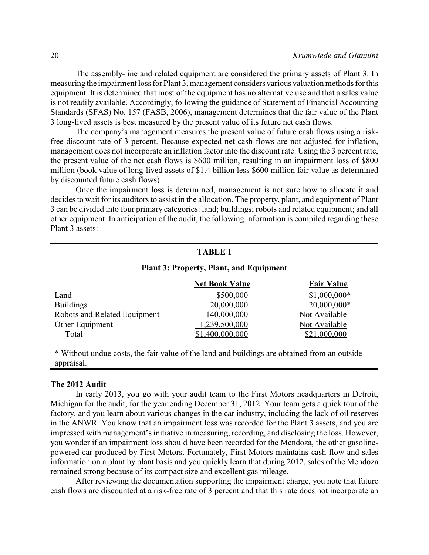The assembly-line and related equipment are considered the primary assets of Plant 3. In measuring the impairment loss for Plant 3, management considers various valuation methods for this equipment. It is determined that most of the equipment has no alternative use and that a sales value is not readily available. Accordingly, following the guidance of Statement of Financial Accounting Standards (SFAS) No. 157 (FASB, 2006), management determines that the fair value of the Plant 3 long-lived assets is best measured by the present value of its future net cash flows.

The company's management measures the present value of future cash flows using a riskfree discount rate of 3 percent. Because expected net cash flows are not adjusted for inflation, management does not incorporate an inflation factor into the discount rate. Using the 3 percent rate, the present value of the net cash flows is \$600 million, resulting in an impairment loss of \$800 million (book value of long-lived assets of \$1.4 billion less \$600 million fair value as determined by discounted future cash flows).

Once the impairment loss is determined, management is not sure how to allocate it and decides to wait for its auditors to assist in the allocation. The property, plant, and equipment of Plant 3 can be divided into four primary categories: land; buildings; robots and related equipment; and all other equipment. In anticipation of the audit, the following information is compiled regarding these Plant 3 assets:

# **TABLE 1**

### **Plant 3: Property, Plant, and Equipment**

|                              | <b>Net Book Value</b> | <b>Fair Value</b> |
|------------------------------|-----------------------|-------------------|
| Land                         | \$500,000             | $$1,000,000*$     |
| <b>Buildings</b>             | 20,000,000            | $20,000,000*$     |
| Robots and Related Equipment | 140,000,000           | Not Available     |
| Other Equipment              | 1,239,500,000         | Not Available     |
| Total                        | \$1,400,000,000       | \$21,000,000      |

\* Without undue costs, the fair value of the land and buildings are obtained from an outside appraisal.

#### **The 2012 Audit**

In early 2013, you go with your audit team to the First Motors headquarters in Detroit, Michigan for the audit, for the year ending December 31, 2012. Your team gets a quick tour of the factory, and you learn about various changes in the car industry, including the lack of oil reserves in the ANWR. You know that an impairment loss was recorded for the Plant 3 assets, and you are impressed with management's initiative in measuring, recording, and disclosing the loss. However, you wonder if an impairment loss should have been recorded for the Mendoza, the other gasolinepowered car produced by First Motors. Fortunately, First Motors maintains cash flow and sales information on a plant by plant basis and you quickly learn that during 2012, sales of the Mendoza remained strong because of its compact size and excellent gas mileage.

After reviewing the documentation supporting the impairment charge, you note that future cash flows are discounted at a risk-free rate of 3 percent and that this rate does not incorporate an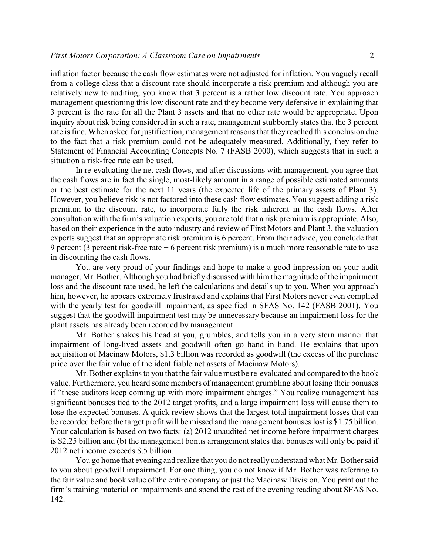inflation factor because the cash flow estimates were not adjusted for inflation. You vaguely recall from a college class that a discount rate should incorporate a risk premium and although you are relatively new to auditing, you know that 3 percent is a rather low discount rate. You approach management questioning this low discount rate and they become very defensive in explaining that 3 percent is the rate for all the Plant 3 assets and that no other rate would be appropriate. Upon inquiry about risk being considered in such a rate, management stubbornly states that the 3 percent rate is fine. When asked for justification, management reasons that they reached this conclusion due to the fact that a risk premium could not be adequately measured. Additionally, they refer to Statement of Financial Accounting Concepts No. 7 (FASB 2000), which suggests that in such a situation a risk-free rate can be used.

In re-evaluating the net cash flows, and after discussions with management, you agree that the cash flows are in fact the single, most-likely amount in a range of possible estimated amounts or the best estimate for the next 11 years (the expected life of the primary assets of Plant 3). However, you believe risk is not factored into these cash flow estimates. You suggest adding a risk premium to the discount rate, to incorporate fully the risk inherent in the cash flows. After consultation with the firm's valuation experts, you are told that a risk premium is appropriate. Also, based on their experience in the auto industry and review of First Motors and Plant 3, the valuation experts suggest that an appropriate risk premium is 6 percent. From their advice, you conclude that 9 percent (3 percent risk-free rate + 6 percent risk premium) is a much more reasonable rate to use in discounting the cash flows.

You are very proud of your findings and hope to make a good impression on your audit manager, Mr. Bother. Although you had briefly discussed with him the magnitude of the impairment loss and the discount rate used, he left the calculations and details up to you. When you approach him, however, he appears extremely frustrated and explains that First Motors never even complied with the yearly test for goodwill impairment, as specified in SFAS No. 142 (FASB 2001). You suggest that the goodwill impairment test may be unnecessary because an impairment loss for the plant assets has already been recorded by management.

Mr. Bother shakes his head at you, grumbles, and tells you in a very stern manner that impairment of long-lived assets and goodwill often go hand in hand. He explains that upon acquisition of Macinaw Motors, \$1.3 billion was recorded as goodwill (the excess of the purchase price over the fair value of the identifiable net assets of Macinaw Motors).

Mr. Bother explains to you that the fair value must be re-evaluated and compared to the book value. Furthermore, you heard some members of management grumbling about losing their bonuses if "these auditors keep coming up with more impairment charges." You realize management has significant bonuses tied to the 2012 target profits, and a large impairment loss will cause them to lose the expected bonuses. A quick review shows that the largest total impairment losses that can be recorded before the target profit will be missed and the management bonuses lost is \$1.75 billion. Your calculation is based on two facts: (a) 2012 unaudited net income before impairment charges is \$2.25 billion and (b) the management bonus arrangement states that bonuses will only be paid if 2012 net income exceeds \$.5 billion.

You go home that evening and realize that you do not really understand what Mr. Bother said to you about goodwill impairment. For one thing, you do not know if Mr. Bother was referring to the fair value and book value of the entire company or just the Macinaw Division. You print out the firm's training material on impairments and spend the rest of the evening reading about SFAS No. 142.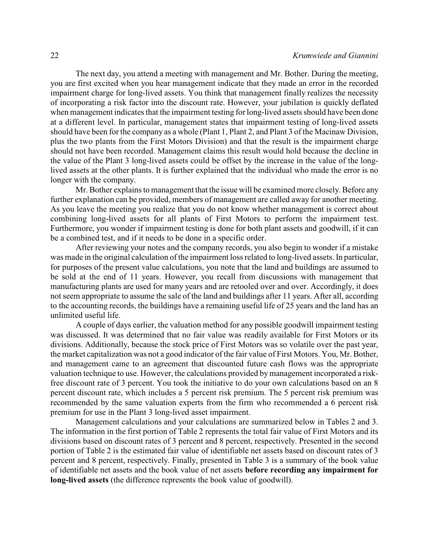The next day, you attend a meeting with management and Mr. Bother. During the meeting, you are first excited when you hear management indicate that they made an error in the recorded impairment charge for long-lived assets. You think that management finally realizes the necessity of incorporating a risk factor into the discount rate. However, your jubilation is quickly deflated when management indicates that the impairment testing for long-lived assets should have been done at a different level. In particular, management states that impairment testing of long-lived assets should have been for the company as a whole (Plant 1, Plant 2, and Plant 3 of the Macinaw Division, plus the two plants from the First Motors Division) and that the result is the impairment charge should not have been recorded. Management claims this result would hold because the decline in the value of the Plant 3 long-lived assets could be offset by the increase in the value of the longlived assets at the other plants. It is further explained that the individual who made the error is no longer with the company.

Mr. Bother explains to management that the issue will be examined more closely. Before any further explanation can be provided, members of management are called away for another meeting. As you leave the meeting you realize that you do not know whether management is correct about combining long-lived assets for all plants of First Motors to perform the impairment test. Furthermore, you wonder if impairment testing is done for both plant assets and goodwill, if it can be a combined test, and if it needs to be done in a specific order.

After reviewing your notes and the company records, you also begin to wonder if a mistake was made in the original calculation of the impairment loss related to long-lived assets. In particular, for purposes of the present value calculations, you note that the land and buildings are assumed to be sold at the end of 11 years. However, you recall from discussions with management that manufacturing plants are used for many years and are retooled over and over. Accordingly, it does not seem appropriate to assume the sale of the land and buildings after 11 years. After all, according to the accounting records, the buildings have a remaining useful life of 25 years and the land has an unlimited useful life.

A couple of days earlier, the valuation method for any possible goodwill impairment testing was discussed. It was determined that no fair value was readily available for First Motors or its divisions. Additionally, because the stock price of First Motors was so volatile over the past year, the market capitalization was not a good indicator of the fair value of First Motors. You, Mr. Bother, and management came to an agreement that discounted future cash flows was the appropriate valuation technique to use. However, the calculations provided by management incorporated a riskfree discount rate of 3 percent. You took the initiative to do your own calculations based on an 8 percent discount rate, which includes a 5 percent risk premium. The 5 percent risk premium was recommended by the same valuation experts from the firm who recommended a 6 percent risk premium for use in the Plant 3 long-lived asset impairment.

Management calculations and your calculations are summarized below in Tables 2 and 3. The information in the first portion of Table 2 represents the total fair value of First Motors and its divisions based on discount rates of 3 percent and 8 percent, respectively. Presented in the second portion of Table 2 is the estimated fair value of identifiable net assets based on discount rates of 3 percent and 8 percent, respectively. Finally, presented in Table 3 is a summary of the book value of identifiable net assets and the book value of net assets **before recording any impairment for long-lived assets** (the difference represents the book value of goodwill).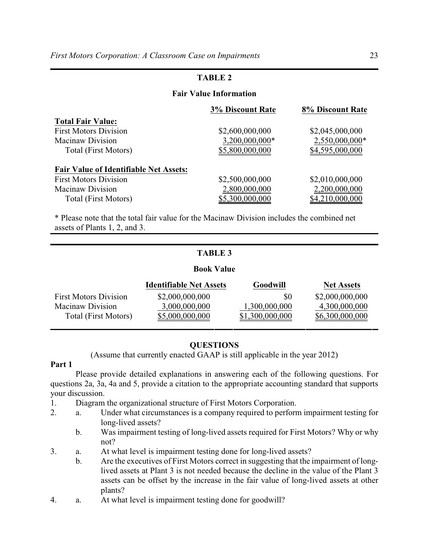# **TABLE 2**

## **Fair Value Information**

|                                               | <b>3% Discount Rate</b> | 8% Discount Rate |
|-----------------------------------------------|-------------------------|------------------|
| <b>Total Fair Value:</b>                      |                         |                  |
| <b>First Motors Division</b>                  | \$2,600,000,000         | \$2,045,000,000  |
| Macinaw Division                              | 3,200,000,000*          | 2,550,000,000*   |
| <b>Total (First Motors)</b>                   | \$5,800,000,000         | \$4,595,000,000  |
| <b>Fair Value of Identifiable Net Assets:</b> |                         |                  |
| <b>First Motors Division</b>                  | \$2,500,000,000         | \$2,010,000,000  |
| <b>Macinaw Division</b>                       | 2,800,000,000           | 2,200,000,000    |
| <b>Total (First Motors)</b>                   | \$5,300,000,000         | \$4,210,000,000  |

\* Please note that the total fair value for the Macinaw Division includes the combined net assets of Plants 1, 2, and 3.

# **TABLE 3**

### **Book Value**

|                              | <b>Identifiable Net Assets</b> | <b>Goodwill</b> | <b>Net Assets</b> |
|------------------------------|--------------------------------|-----------------|-------------------|
| <b>First Motors Division</b> | \$2,000,000,000                | \$0             | \$2,000,000,000   |
| Macinaw Division             | 3,000,000,000                  | 1,300,000,000   | 4,300,000,000     |
| Total (First Motors)         | \$5,000,000,000                | \$1,300,000,000 | \$6,300,000,000   |

# **QUESTIONS**

(Assume that currently enacted GAAP is still applicable in the year 2012)

### **Part 1**

Please provide detailed explanations in answering each of the following questions. For questions 2a, 3a, 4a and 5, provide a citation to the appropriate accounting standard that supports your discussion.

1. Diagram the organizational structure of First Motors Corporation.

- 2. a. Under what circumstances is a company required to perform impairment testing for long-lived assets?
	- b. Was impairment testing of long-lived assets required for First Motors? Why or why not?
- 3. a. At what level is impairment testing done for long-lived assets?
	- b. Are the executives of First Motors correct in suggesting that the impairment of longlived assets at Plant 3 is not needed because the decline in the value of the Plant 3 assets can be offset by the increase in the fair value of long-lived assets at other plants?
- 4. a. At what level is impairment testing done for goodwill?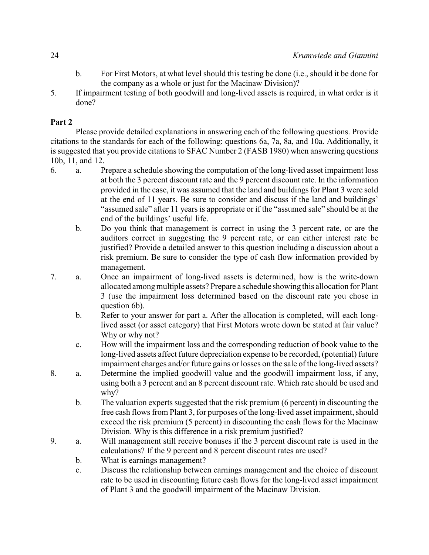- b. For First Motors, at what level should this testing be done (i.e., should it be done for the company as a whole or just for the Macinaw Division)?
- 5. If impairment testing of both goodwill and long-lived assets is required, in what order is it done?

# **Part 2**

Please provide detailed explanations in answering each of the following questions. Provide citations to the standards for each of the following: questions 6a, 7a, 8a, and 10a. Additionally, it is suggested that you provide citations to SFAC Number 2 (FASB 1980) when answering questions 10b, 11, and 12.

- 6. a. Prepare a schedule showing the computation of the long-lived asset impairment loss at both the 3 percent discount rate and the 9 percent discount rate. In the information provided in the case, it was assumed that the land and buildings for Plant 3 were sold at the end of 11 years. Be sure to consider and discuss if the land and buildings' "assumed sale" after 11 years is appropriate or if the "assumed sale" should be at the end of the buildings' useful life.
	- b. Do you think that management is correct in using the 3 percent rate, or are the auditors correct in suggesting the 9 percent rate, or can either interest rate be justified? Provide a detailed answer to this question including a discussion about a risk premium. Be sure to consider the type of cash flow information provided by management.
- 7. a. Once an impairment of long-lived assets is determined, how is the write-down allocated among multiple assets? Prepare a schedule showing this allocation for Plant 3 (use the impairment loss determined based on the discount rate you chose in question 6b).
	- b. Refer to your answer for part a. After the allocation is completed, will each longlived asset (or asset category) that First Motors wrote down be stated at fair value? Why or why not?
	- c. How will the impairment loss and the corresponding reduction of book value to the long-lived assets affect future depreciation expense to be recorded, (potential) future impairment charges and/or future gains or losses on the sale of the long-lived assets?
- 8. a. Determine the implied goodwill value and the goodwill impairment loss, if any, using both a 3 percent and an 8 percent discount rate. Which rate should be used and why?
	- b. The valuation experts suggested that the risk premium (6 percent) in discounting the free cash flows from Plant 3, for purposes of the long-lived asset impairment, should exceed the risk premium (5 percent) in discounting the cash flows for the Macinaw Division. Why is this difference in a risk premium justified?
- 9. a. Will management still receive bonuses if the 3 percent discount rate is used in the calculations? If the 9 percent and 8 percent discount rates are used?
	- b. What is earnings management?
	- c. Discuss the relationship between earnings management and the choice of discount rate to be used in discounting future cash flows for the long-lived asset impairment of Plant 3 and the goodwill impairment of the Macinaw Division.